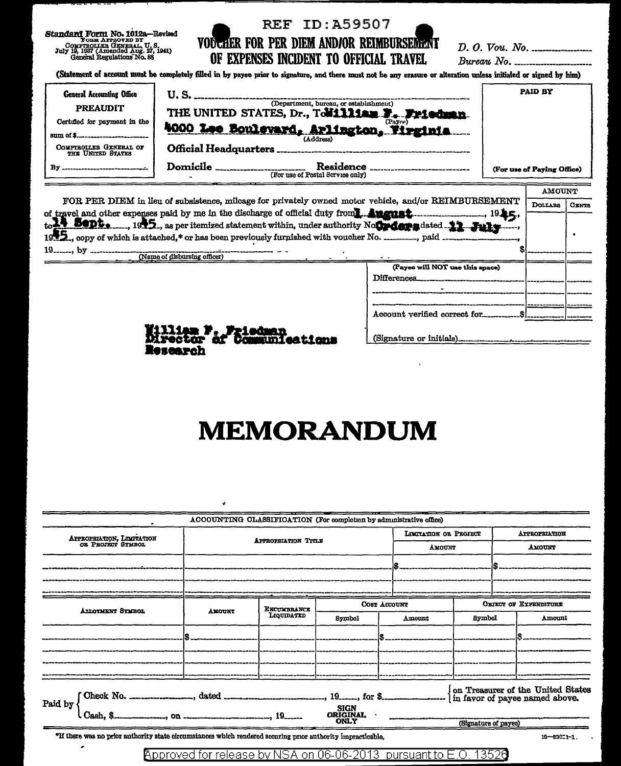Standard Form No. 1012a–Revised<br>Found France GENERAL, U.S.<br>Contracting GENERAL, U.S.<br>July 19, 1937 (Amended Aug. 27, 1941)<br>General Regulations No. 88

Research

## **REF ID:A59507** VOOCHER FOR PER DIEM AND/OR REIMBURSEMENT OF EXPENSES INCIDENT TO OFFICIAL TRAVEL

 $D. O. Vou. No.$  $Bureau$  No.  $\ldots$ 

T

**AMOTINT** 

(Statement of account must be completely filled in by payee prior to signature, and there must not be any erasure or alteration unless initialed or signed by him)

| <b>General Accounting Office</b><br><b>PREAUDIT</b><br>Certified for payment in the<br>COMPTROLLER GENERAL OF<br><b>THE UNITED STATES</b> | U. S.<br>(Department, bureau, or establishment)<br>THE UNITED STATES, Dr., Towilliam E. Friedman.<br>(Payre)<br>4000 Lee Boulevard, Arlington, Virginia<br>(Address)<br>Official Headquarters _____________ | <b>PAID BY</b>             |
|-------------------------------------------------------------------------------------------------------------------------------------------|-------------------------------------------------------------------------------------------------------------------------------------------------------------------------------------------------------------|----------------------------|
| Rv                                                                                                                                        | <b>Domicile</b><br><b>Residence</b><br>(For use of Postal Service only)                                                                                                                                     | (For use of Paying Office) |

| FOR PER DIEM in lieu of subsistence, milcage for privately owned motor vehicle, and/or REIMBURSEMENT                                      |                                 |  | <b>CENTS</b> |  |
|-------------------------------------------------------------------------------------------------------------------------------------------|---------------------------------|--|--------------|--|
| $19$ . $\leq$ ,<br>$_{\text{to}}$ 30pt. $_{\text{0}}$ 1945., as per itemized statement within, under authority Noting as a dated 11. July |                                 |  |              |  |
| $19$ <sub>------</sub> , by<br>(Name of disbursing officer)                                                                               |                                 |  |              |  |
|                                                                                                                                           | (Payee will NOT use this space) |  |              |  |
|                                                                                                                                           | Differences_                    |  |              |  |
|                                                                                                                                           |                                 |  |              |  |
|                                                                                                                                           |                                 |  |              |  |
|                                                                                                                                           | Account verified correct for    |  |              |  |
| William P. Priedman<br>Director of Communications                                                                                         |                                 |  |              |  |

## **MEMORANDUM**

|                                                                                                             | ACCOUNTING CLASSIFICATION (For completion by administrative office)         |                                               |              |                                       |        |                                       |  |                                   |  |
|-------------------------------------------------------------------------------------------------------------|-----------------------------------------------------------------------------|-----------------------------------------------|--------------|---------------------------------------|--------|---------------------------------------|--|-----------------------------------|--|
|                                                                                                             |                                                                             |                                               |              | LOCTATION OR PROJECT<br><b>AMOUNT</b> |        | <b>APPROPRIATION</b><br><b>AMOUNT</b> |  |                                   |  |
| APPROPRIATION, LIMITATION OR PROPECT SYMBOL                                                                 | <b>APPROPRIATION TITLE</b>                                                  |                                               |              |                                       |        |                                       |  |                                   |  |
|                                                                                                             |                                                                             |                                               |              |                                       |        |                                       |  |                                   |  |
|                                                                                                             |                                                                             |                                               |              |                                       |        |                                       |  |                                   |  |
|                                                                                                             |                                                                             |                                               |              |                                       |        |                                       |  |                                   |  |
| <b>ALLOTHENT SYMBOL</b>                                                                                     | <b>AMOUNT</b>                                                               | ENCUMBRANCE                                   | COST ACCOUNT |                                       |        |                                       |  | <b>OBJECT OF EXPENDITURE</b>      |  |
|                                                                                                             |                                                                             | LIQUIDATED                                    | Symbol       |                                       | Amount | Symbol                                |  | Amount                            |  |
|                                                                                                             |                                                                             |                                               |              |                                       |        |                                       |  |                                   |  |
|                                                                                                             |                                                                             |                                               |              |                                       |        |                                       |  |                                   |  |
|                                                                                                             |                                                                             |                                               |              |                                       |        |                                       |  |                                   |  |
|                                                                                                             |                                                                             |                                               |              |                                       |        |                                       |  |                                   |  |
|                                                                                                             |                                                                             |                                               |              |                                       |        |                                       |  | on Treasurer of the United States |  |
| Paid by                                                                                                     |                                                                             | <b>SIGN</b><br><b>ORIGINAL</b><br><b>ONLY</b> |              |                                       |        |                                       |  |                                   |  |
|                                                                                                             | Cash, \$                                                                    |                                               |              | (Signature of payee)                  |        |                                       |  |                                   |  |
| *If there was no prior authority state circumstances which rendered scouring prior authority impracticable. |                                                                             |                                               |              |                                       |        |                                       |  | $10 - 230 - 1 - 1$ .              |  |
|                                                                                                             | Approved for release by NSA on 06-06-2013, pursuant to $\mathsf F$ O 13528. |                                               |              |                                       |        |                                       |  |                                   |  |